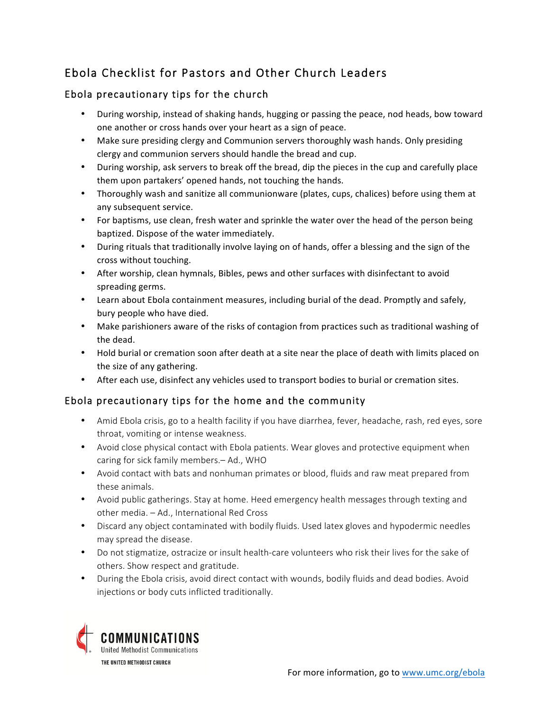# Ebola Checklist for Pastors and Other Church Leaders

## Ebola precautionary tips for the church

- During worship, instead of shaking hands, hugging or passing the peace, nod heads, bow toward one another or cross hands over your heart as a sign of peace.
- Make sure presiding clergy and Communion servers thoroughly wash hands. Only presiding clergy and communion servers should handle the bread and cup.
- During worship, ask servers to break off the bread, dip the pieces in the cup and carefully place them upon partakers' opened hands, not touching the hands.
- Thoroughly wash and sanitize all communionware (plates, cups, chalices) before using them at any subsequent service.
- For baptisms, use clean, fresh water and sprinkle the water over the head of the person being baptized. Dispose of the water immediately.
- During rituals that traditionally involve laying on of hands, offer a blessing and the sign of the cross without touching.
- After worship, clean hymnals, Bibles, pews and other surfaces with disinfectant to avoid spreading germs.
- Learn about Ebola containment measures, including burial of the dead. Promptly and safely, bury people who have died.
- Make parishioners aware of the risks of contagion from practices such as traditional washing of the dead.
- Hold burial or cremation soon after death at a site near the place of death with limits placed on the size of any gathering.
- After each use, disinfect any vehicles used to transport bodies to burial or cremation sites.

### Ebola precautionary tips for the home and the community

- Amid Ebola crisis, go to a health facility if you have diarrhea, fever, headache, rash, red eyes, sore throat, vomiting or intense weakness.
- Avoid close physical contact with Ebola patients. Wear gloves and protective equipment when caring for sick family members.– Ad., WHO
- Avoid contact with bats and nonhuman primates or blood, fluids and raw meat prepared from these animals.
- Avoid public gatherings. Stay at home. Heed emergency health messages through texting and other media. – Ad., International Red Cross
- Discard any object contaminated with bodily fluids. Used latex gloves and hypodermic needles may spread the disease.
- Do not stigmatize, ostracize or insult health-care volunteers who risk their lives for the sake of others. Show respect and gratitude.
- During the Ebola crisis, avoid direct contact with wounds, bodily fluids and dead bodies. Avoid injections or body cuts inflicted traditionally.

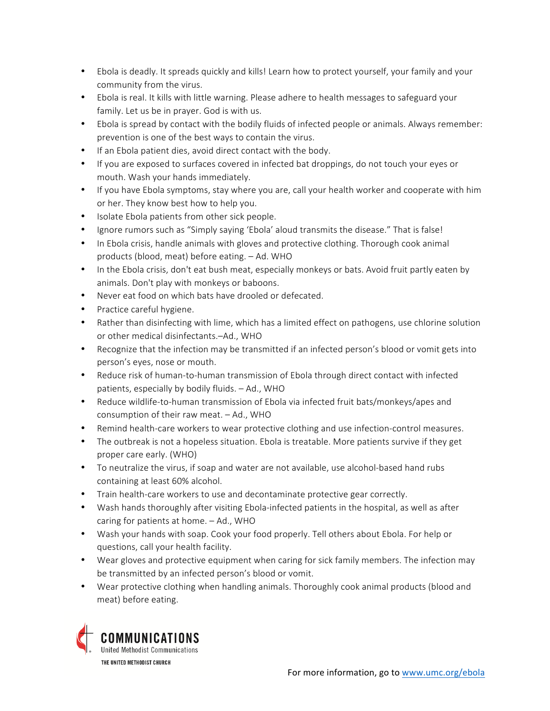- Ebola is deadly. It spreads quickly and kills! Learn how to protect yourself, your family and your community from the virus.
- Ebola is real. It kills with little warning. Please adhere to health messages to safeguard your family. Let us be in prayer. God is with us.
- Ebola is spread by contact with the bodily fluids of infected people or animals. Always remember: prevention is one of the best ways to contain the virus.
- If an Ebola patient dies, avoid direct contact with the body.
- If you are exposed to surfaces covered in infected bat droppings, do not touch your eyes or mouth. Wash your hands immediately.
- If you have Ebola symptoms, stay where you are, call your health worker and cooperate with him or her. They know best how to help you.
- Isolate Ebola patients from other sick people.
- Ignore rumors such as "Simply saying 'Ebola' aloud transmits the disease." That is false!
- In Ebola crisis, handle animals with gloves and protective clothing. Thorough cook animal products (blood, meat) before eating. – Ad. WHO
- In the Ebola crisis, don't eat bush meat, especially monkeys or bats. Avoid fruit partly eaten by animals. Don't play with monkeys or baboons.
- Never eat food on which bats have drooled or defecated.
- Practice careful hygiene.
- Rather than disinfecting with lime, which has a limited effect on pathogens, use chlorine solution or other medical disinfectants.–Ad., WHO
- Recognize that the infection may be transmitted if an infected person's blood or vomit gets into person's eyes, nose or mouth.
- Reduce risk of human-to-human transmission of Ebola through direct contact with infected patients, especially by bodily fluids. – Ad., WHO
- Reduce wildlife-to-human transmission of Ebola via infected fruit bats/monkeys/apes and consumption of their raw meat. – Ad., WHO
- Remind health-care workers to wear protective clothing and use infection-control measures.
- The outbreak is not a hopeless situation. Ebola is treatable. More patients survive if they get proper care early. (WHO)
- To neutralize the virus, if soap and water are not available, use alcohol-based hand rubs containing at least 60% alcohol.
- Train health-care workers to use and decontaminate protective gear correctly.
- Wash hands thoroughly after visiting Ebola-infected patients in the hospital, as well as after caring for patients at home. – Ad., WHO
- Wash your hands with soap. Cook your food properly. Tell others about Ebola. For help or questions, call your health facility.
- Wear gloves and protective equipment when caring for sick family members. The infection may be transmitted by an infected person's blood or vomit.
- Wear protective clothing when handling animals. Thoroughly cook animal products (blood and meat) before eating.

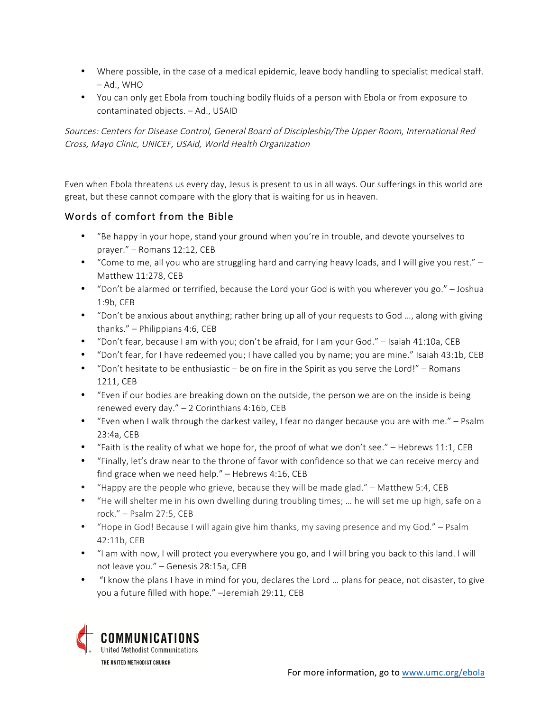- Where possible, in the case of a medical epidemic, leave body handling to specialist medical staff. – Ad., WHO
- You can only get Ebola from touching bodily fluids of a person with Ebola or from exposure to contaminated objects. – Ad., USAID

Sources: Centers for Disease Control, General Board of Discipleship/The Upper Room, International Red Cross, Mayo Clinic, UNICEF, USAid, World Health Organization

Even when Ebola threatens us every day, Jesus is present to us in all ways. Our sufferings in this world are great, but these cannot compare with the glory that is waiting for us in heaven.

### Words of comfort from the Bible

- "Be happy in your hope, stand your ground when you're in trouble, and devote yourselves to prayer." – Romans 12:12, CEB
- "Come to me, all you who are struggling hard and carrying heavy loads, and I will give you rest." Matthew 11:278, CEB
- "Don't be alarmed or terrified, because the Lord your God is with you wherever you go." Joshua 1:9b, CEB
- "Don't be anxious about anything; rather bring up all of your requests to God …, along with giving thanks." – Philippians 4:6, CEB
- "Don't fear, because I am with you; don't be afraid, for I am your God." Isaiah 41:10a, CEB
- "Don't fear, for I have redeemed you; I have called you by name; you are mine." Isaiah 43:1b, CEB
- "Don't hesitate to be enthusiastic be on fire in the Spirit as you serve the Lord!" Romans 1211, CEB
- "Even if our bodies are breaking down on the outside, the person we are on the inside is being renewed every day." – 2 Corinthians 4:16b, CEB
- "Even when I walk through the darkest valley, I fear no danger because you are with me." Psalm 23:4a, CEB
- "Faith is the reality of what we hope for, the proof of what we don't see." Hebrews 11:1, CEB
- "Finally, let's draw near to the throne of favor with confidence so that we can receive mercy and find grace when we need help." – Hebrews 4:16, CEB
- "Happy are the people who grieve, because they will be made glad." Matthew 5:4, CEB
- "He will shelter me in his own dwelling during troubling times; … he will set me up high, safe on a rock." – Psalm 27:5, CEB
- "Hope in God! Because I will again give him thanks, my saving presence and my God." Psalm 42:11b, CEB
- "I am with now, I will protect you everywhere you go, and I will bring you back to this land. I will not leave you." – Genesis 28:15a, CEB
- "I know the plans I have in mind for you, declares the Lord … plans for peace, not disaster, to give you a future filled with hope." –Jeremiah 29:11, CEB

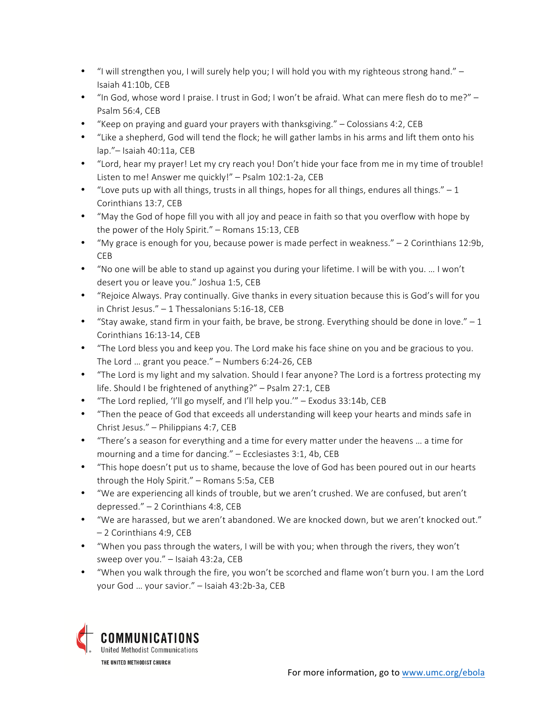- "I will strengthen you, I will surely help you; I will hold you with my righteous strong hand." Isaiah 41:10b, CEB
- "In God, whose word I praise. I trust in God; I won't be afraid. What can mere flesh do to me?" Psalm 56:4, CEB
- "Keep on praying and guard your prayers with thanksgiving." Colossians 4:2, CEB
- "Like a shepherd, God will tend the flock; he will gather lambs in his arms and lift them onto his lap."– Isaiah 40:11a, CEB
- "Lord, hear my prayer! Let my cry reach you! Don't hide your face from me in my time of trouble! Listen to me! Answer me quickly!" – Psalm 102:1-2a, CEB
- "Love puts up with all things, trusts in all things, hopes for all things, endures all things." 1 Corinthians 13:7, CEB
- "May the God of hope fill you with all joy and peace in faith so that you overflow with hope by the power of the Holy Spirit." – Romans 15:13, CEB
- "My grace is enough for you, because power is made perfect in weakness." 2 Corinthians 12:9b, CEB
- "No one will be able to stand up against you during your lifetime. I will be with you. … I won't desert you or leave you." Joshua 1:5, CEB
- "Rejoice Always. Pray continually. Give thanks in every situation because this is God's will for you in Christ Jesus." – 1 Thessalonians 5:16-18, CEB
- "Stay awake, stand firm in your faith, be brave, be strong. Everything should be done in love."  $-1$ Corinthians 16:13-14, CEB
- "The Lord bless you and keep you. The Lord make his face shine on you and be gracious to you. The Lord … grant you peace." – Numbers 6:24-26, CEB
- "The Lord is my light and my salvation. Should I fear anyone? The Lord is a fortress protecting my life. Should I be frightened of anything?" – Psalm 27:1, CEB
- "The Lord replied, 'I'll go myself, and I'll help you.'" Exodus 33:14b, CEB
- "Then the peace of God that exceeds all understanding will keep your hearts and minds safe in Christ Jesus." – Philippians 4:7, CEB
- "There's a season for everything and a time for every matter under the heavens … a time for mourning and a time for dancing." – Ecclesiastes 3:1, 4b, CEB
- "This hope doesn't put us to shame, because the love of God has been poured out in our hearts through the Holy Spirit." – Romans 5:5a, CEB
- "We are experiencing all kinds of trouble, but we aren't crushed. We are confused, but aren't depressed." – 2 Corinthians 4:8, CEB
- "We are harassed, but we aren't abandoned. We are knocked down, but we aren't knocked out." – 2 Corinthians 4:9, CEB
- "When you pass through the waters, I will be with you; when through the rivers, they won't sweep over you." – Isaiah 43:2a, CEB
- "When you walk through the fire, you won't be scorched and flame won't burn you. I am the Lord your God … your savior." – Isaiah 43:2b-3a, CEB

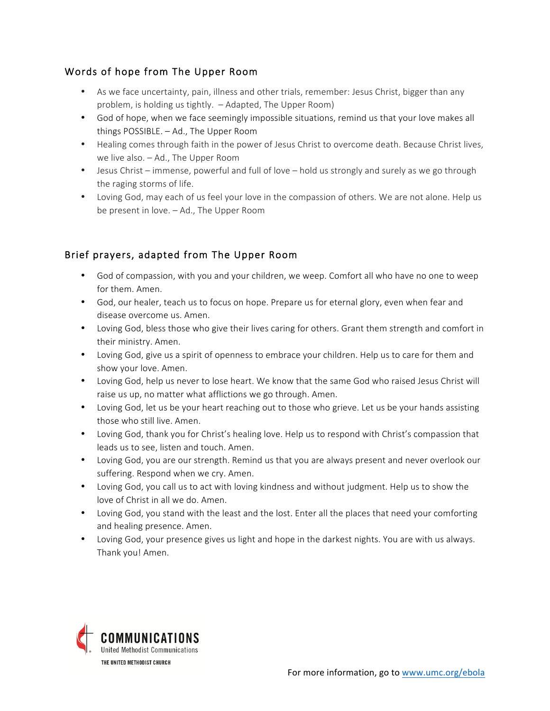### Words of hope from The Upper Room

- As we face uncertainty, pain, illness and other trials, remember: Jesus Christ, bigger than any problem, is holding us tightly. – Adapted, The Upper Room)
- God of hope, when we face seemingly impossible situations, remind us that your love makes all things POSSIBLE. – Ad., The Upper Room
- Healing comes through faith in the power of Jesus Christ to overcome death. Because Christ lives, we live also. – Ad., The Upper Room
- Jesus Christ immense, powerful and full of love hold us strongly and surely as we go through the raging storms of life.
- Loving God, may each of us feel your love in the compassion of others. We are not alone. Help us be present in love. – Ad., The Upper Room

## Brief prayers, adapted from The Upper Room

- God of compassion, with you and your children, we weep. Comfort all who have no one to weep for them. Amen.
- God, our healer, teach us to focus on hope. Prepare us for eternal glory, even when fear and disease overcome us. Amen.
- Loving God, bless those who give their lives caring for others. Grant them strength and comfort in their ministry. Amen.
- Loving God, give us a spirit of openness to embrace your children. Help us to care for them and show your love. Amen.
- Loving God, help us never to lose heart. We know that the same God who raised Jesus Christ will raise us up, no matter what afflictions we go through. Amen.
- Loving God, let us be your heart reaching out to those who grieve. Let us be your hands assisting those who still live. Amen.
- Loving God, thank you for Christ's healing love. Help us to respond with Christ's compassion that leads us to see, listen and touch. Amen.
- Loving God, you are our strength. Remind us that you are always present and never overlook our suffering. Respond when we cry. Amen.
- Loving God, you call us to act with loving kindness and without judgment. Help us to show the love of Christ in all we do. Amen.
- Loving God, you stand with the least and the lost. Enter all the places that need your comforting and healing presence. Amen.
- Loving God, your presence gives us light and hope in the darkest nights. You are with us always. Thank you! Amen.